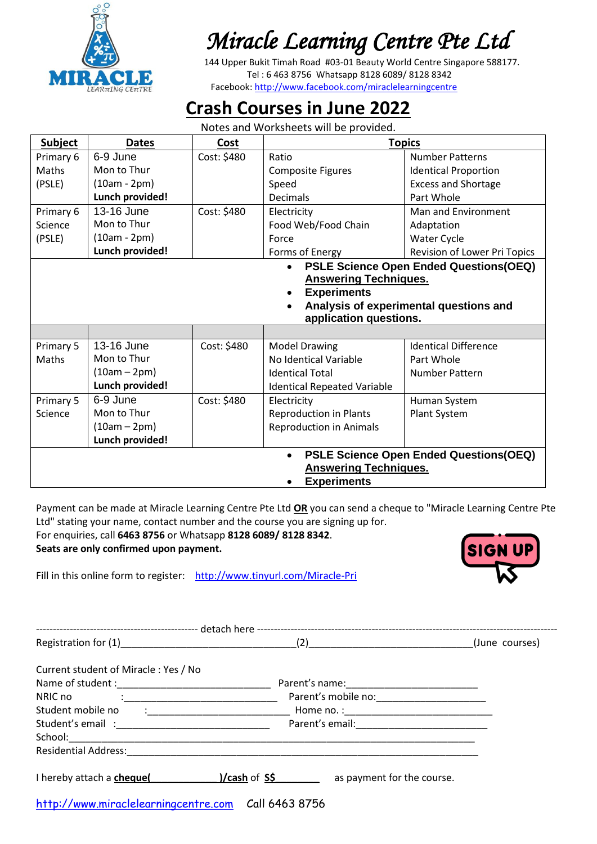

 144 Upper Bukit Timah Road #03-01 Beauty World Centre Singapore 588177. Tel : 6 463 8756 Whatsapp 8128 6089/ 8128 8342 Facebook:<http://www.facebook.com/miraclelearningcentre>

## **Crash Courses in June 2022**

Notes and Worksheets will be provided.

| <b>Subject</b>                                      | <b>Dates</b>                                                                                                                                                                                            | Cost        | <b>Topics</b>                      |                              |
|-----------------------------------------------------|---------------------------------------------------------------------------------------------------------------------------------------------------------------------------------------------------------|-------------|------------------------------------|------------------------------|
| Primary 6                                           | 6-9 June                                                                                                                                                                                                | Cost: \$480 | Ratio                              | <b>Number Patterns</b>       |
| Maths                                               | Mon to Thur                                                                                                                                                                                             |             | <b>Composite Figures</b>           | <b>Identical Proportion</b>  |
| (PSLE)                                              | $(10am - 2pm)$                                                                                                                                                                                          |             | Speed                              | <b>Excess and Shortage</b>   |
|                                                     | Lunch provided!                                                                                                                                                                                         |             | <b>Decimals</b>                    | Part Whole                   |
| Primary 6                                           | 13-16 June                                                                                                                                                                                              | Cost: \$480 | Electricity                        | Man and Environment          |
| Science                                             | Mon to Thur                                                                                                                                                                                             |             | Food Web/Food Chain                | Adaptation                   |
| (PSLE)                                              | $(10am - 2pm)$                                                                                                                                                                                          |             | Force                              | Water Cycle                  |
|                                                     | Lunch provided!                                                                                                                                                                                         |             | Forms of Energy                    | Revision of Lower Pri Topics |
|                                                     | PSLE Science Open Ended Questions(OEQ)<br>$\bullet$<br><b>Answering Techniques.</b><br><b>Experiments</b><br>$\bullet$<br>Analysis of experimental questions and<br>$\bullet$<br>application questions. |             |                                    |                              |
| Primary 5                                           | 13-16 June                                                                                                                                                                                              | Cost: \$480 | <b>Model Drawing</b>               | <b>Identical Difference</b>  |
| Maths                                               | Mon to Thur                                                                                                                                                                                             |             | No Identical Variable              | Part Whole                   |
|                                                     | $(10am - 2pm)$                                                                                                                                                                                          |             | <b>Identical Total</b>             | Number Pattern               |
|                                                     | Lunch provided!                                                                                                                                                                                         |             | <b>Identical Repeated Variable</b> |                              |
| Primary 5                                           | 6-9 June                                                                                                                                                                                                | Cost: \$480 | Electricity                        | Human System                 |
| Science                                             | Mon to Thur                                                                                                                                                                                             |             | <b>Reproduction in Plants</b>      | Plant System                 |
|                                                     | $(10am - 2pm)$                                                                                                                                                                                          |             | <b>Reproduction in Animals</b>     |                              |
|                                                     | Lunch provided!                                                                                                                                                                                         |             |                                    |                              |
| PSLE Science Open Ended Questions(OEQ)<br>$\bullet$ |                                                                                                                                                                                                         |             |                                    |                              |
| <b>Answering Techniques.</b>                        |                                                                                                                                                                                                         |             |                                    |                              |
| <b>Experiments</b>                                  |                                                                                                                                                                                                         |             |                                    |                              |

Payment can be made at Miracle Learning Centre Pte Ltd **OR** you can send a cheque to "Miracle Learning Centre Pte Ltd" stating your name, contact number and the course you are signing up for.

For enquiries, call **6463 8756** or Whatsapp **8128 6089/ 8128 8342**. **Seats are only confirmed upon payment.**

Fill in this online form to register: <http://www.tinyurl.com/Miracle-Pri>

|                                                                                                                                                                                                                                |  |                            | (June courses) |
|--------------------------------------------------------------------------------------------------------------------------------------------------------------------------------------------------------------------------------|--|----------------------------|----------------|
| Current student of Miracle: Yes / No                                                                                                                                                                                           |  |                            |                |
|                                                                                                                                                                                                                                |  |                            |                |
| NRIC no<br>$\ddot{\cdot}$ . The contract of the contract of $\dot{\cdot}$                                                                                                                                                      |  |                            |                |
| Student mobile no                                                                                                                                                                                                              |  |                            |                |
|                                                                                                                                                                                                                                |  |                            |                |
|                                                                                                                                                                                                                                |  |                            |                |
|                                                                                                                                                                                                                                |  |                            |                |
| I hereby attach a cheque( I hereby attach a cheque( I hereby attach a cheque( I hereby attach a cheque( I hereby attach a cheque( I hereby attach a cheque( I hereby attach a cheque( I hereby attach a cheque( I hereby attac |  | as payment for the course. |                |
| http://www.miraclelearningcentre.com Call 6463 8756                                                                                                                                                                            |  |                            |                |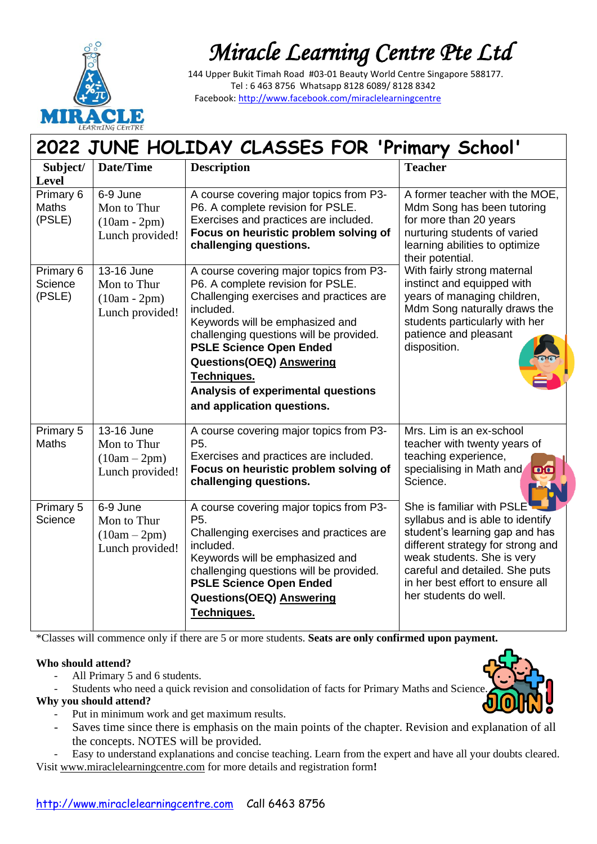

 144 Upper Bukit Timah Road #03-01 Beauty World Centre Singapore 588177. Tel : 6 463 8756 Whatsapp 8128 6089/ 8128 8342 Facebook:<http://www.facebook.com/miraclelearningcentre>

| LEARπING CEπTRE<br>2022 JUNE HOLIDAY CLASSES FOR 'Primary School' |                                                                |                                                                                                                                                                                                                                                                                                                                                                     |                                                                                                                                                                                                                                                                   |
|-------------------------------------------------------------------|----------------------------------------------------------------|---------------------------------------------------------------------------------------------------------------------------------------------------------------------------------------------------------------------------------------------------------------------------------------------------------------------------------------------------------------------|-------------------------------------------------------------------------------------------------------------------------------------------------------------------------------------------------------------------------------------------------------------------|
| Subject/<br><b>Level</b>                                          | Date/Time                                                      | <b>Description</b>                                                                                                                                                                                                                                                                                                                                                  | <b>Teacher</b>                                                                                                                                                                                                                                                    |
| Primary 6<br><b>Maths</b><br>(PSLE)                               | 6-9 June<br>Mon to Thur<br>$(10am - 2pm)$<br>Lunch provided!   | A course covering major topics from P3-<br>P6. A complete revision for PSLE.<br>Exercises and practices are included.<br>Focus on heuristic problem solving of<br>challenging questions.                                                                                                                                                                            | A former teacher with the MOE,<br>Mdm Song has been tutoring<br>for more than 20 years<br>nurturing students of varied<br>learning abilities to optimize<br>their potential.                                                                                      |
| Primary 6<br>Science<br>(PSLE)                                    | 13-16 June<br>Mon to Thur<br>$(10am - 2pm)$<br>Lunch provided! | A course covering major topics from P3-<br>P6. A complete revision for PSLE.<br>Challenging exercises and practices are<br>included.<br>Keywords will be emphasized and<br>challenging questions will be provided.<br><b>PSLE Science Open Ended</b><br>Questions(OEQ) Answering<br>Techniques.<br>Analysis of experimental questions<br>and application questions. | With fairly strong maternal<br>instinct and equipped with<br>years of managing children,<br>Mdm Song naturally draws the<br>students particularly with her<br>patience and pleasant<br>disposition.                                                               |
| Primary 5<br><b>Maths</b>                                         | 13-16 June<br>Mon to Thur<br>$(10am - 2pm)$<br>Lunch provided! | A course covering major topics from P3-<br>P <sub>5</sub> .<br>Exercises and practices are included.<br>Focus on heuristic problem solving of<br>challenging questions.                                                                                                                                                                                             | Mrs. Lim is an ex-school<br>teacher with twenty years of<br>teaching experience,<br>specialising in Math and<br>Science.                                                                                                                                          |
| Primary 5<br>Science                                              | 6-9 June<br>Mon to Thur<br>$(10am - 2pm)$<br>Lunch provided!   | A course covering major topics from P3-<br>P <sub>5</sub> .<br>Challenging exercises and practices are<br>included.<br>Keywords will be emphasized and<br>challenging questions will be provided.<br><b>PSLE Science Open Ended</b><br><b>Questions(OEQ) Answering</b><br>Techniques.                                                                               | She is familiar with PSLE<br>syllabus and is able to identify<br>student's learning gap and has<br>different strategy for strong and<br>weak students. She is very<br>careful and detailed. She puts<br>in her best effort to ensure all<br>her students do well. |

\*Classes will commence only if there are 5 or more students. **Seats are only confirmed upon payment.**

#### **Who should attend?**

- All Primary 5 and 6 students.
- Students who need a quick revision and consolidation of facts for Primary Maths and Science.

#### **Why you should attend?**

- Put in minimum work and get maximum results.
- Saves time since there is emphasis on the main points of the chapter. Revision and explanation of all the concepts. NOTES will be provided.
- Easy to understand explanations and concise teaching. Learn from the expert and have all your doubts cleared. Visit www.miraclelearningcentre.com for more details and registration form**!**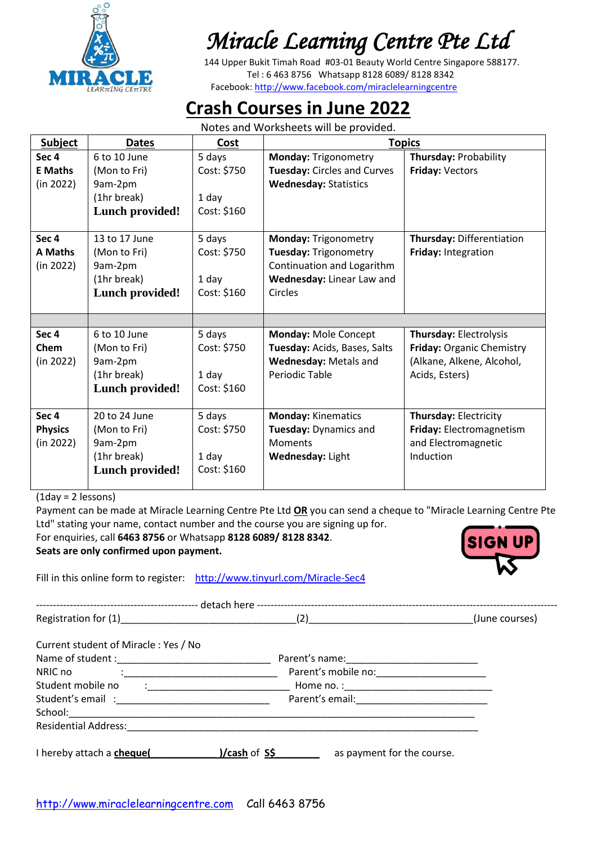

 144 Upper Bukit Timah Road #03-01 Beauty World Centre Singapore 588177. Tel : 6 463 8756 Whatsapp 8128 6089/ 8128 8342 Facebook:<http://www.facebook.com/miraclelearningcentre>

## **Crash Courses in June 2022**

Notes and Worksheets will be provided.

| <b>Subject</b>   | <b>Dates</b>           | Cost        | <b>Topics</b>                |                              |
|------------------|------------------------|-------------|------------------------------|------------------------------|
| Sec <sub>4</sub> | 6 to 10 June           | 5 days      | <b>Monday: Trigonometry</b>  | Thursday: Probability        |
| <b>E</b> Maths   | (Mon to Fri)           | Cost: \$750 | Tuesday: Circles and Curves  | Friday: Vectors              |
| (in 2022)        | 9am-2pm                |             | <b>Wednesday: Statistics</b> |                              |
|                  | (1hr break)            | 1 day       |                              |                              |
|                  | <b>Lunch provided!</b> | Cost: \$160 |                              |                              |
| Sec <sub>4</sub> | 13 to 17 June          | 5 days      | <b>Monday: Trigonometry</b>  | Thursday: Differentiation    |
| <b>A Maths</b>   | (Mon to Fri)           | Cost: \$750 | Tuesday: Trigonometry        | Friday: Integration          |
| (in 2022)        | 9am-2pm                |             | Continuation and Logarithm   |                              |
|                  | (1hr break)            | 1 day       | Wednesday: Linear Law and    |                              |
|                  | <b>Lunch provided!</b> | Cost: \$160 | Circles                      |                              |
|                  |                        |             |                              |                              |
|                  |                        |             |                              |                              |
| Sec <sub>4</sub> | 6 to 10 June           | 5 days      | Monday: Mole Concept         | Thursday: Electrolysis       |
| Chem             | (Mon to Fri)           | Cost: \$750 | Tuesday: Acids, Bases, Salts | Friday: Organic Chemistry    |
| (in 2022)        | 9am-2pm                |             | Wednesday: Metals and        | (Alkane, Alkene, Alcohol,    |
|                  | (1hr break)            | 1 day       | Periodic Table               | Acids, Esters)               |
|                  | <b>Lunch provided!</b> | Cost: \$160 |                              |                              |
|                  |                        |             |                              |                              |
| Sec <sub>4</sub> | 20 to 24 June          | 5 days      | <b>Monday: Kinematics</b>    | <b>Thursday: Electricity</b> |
| <b>Physics</b>   | (Mon to Fri)           | Cost: \$750 | Tuesday: Dynamics and        | Friday: Electromagnetism     |
| (in 2022)        | 9am-2pm                |             | <b>Moments</b>               | and Electromagnetic          |
|                  | (1hr break)            | 1 day       | Wednesday: Light             | Induction                    |
|                  | <b>Lunch provided!</b> | Cost: \$160 |                              |                              |

(1day = 2 lessons)

Payment can be made at Miracle Learning Centre Pte Ltd **OR** you can send a cheque to "Miracle Learning Centre Pte Ltd" stating your name, contact number and the course you are signing up for.

For enquiries, call **6463 8756** or Whatsapp **8128 6089/ 8128 8342**.

**Seats are only confirmed upon payment.**

Fill in this online form to register: <http://www.tinyurl.com/Miracle-Sec4>

------------------------------------------------ detach here -----------------------------------------------------------------------------------------  $\Gamma$  (2)  $\Gamma$  (June courses)

Current student of Miracle : Yes / No

| Name of student:            |                                                   |
|-----------------------------|---------------------------------------------------|
| NRIC no                     | Parent's mobile no:                               |
| Student mobile no           | <u> 1980 - Jan Alexandri, manazarta politik (</u> |
| Student's email:            | Parent's email:                                   |
| School:                     |                                                   |
| <b>Residential Address:</b> |                                                   |
| I hereby attach a chequel   | )/cash of S\$<br>as payment for the course.       |